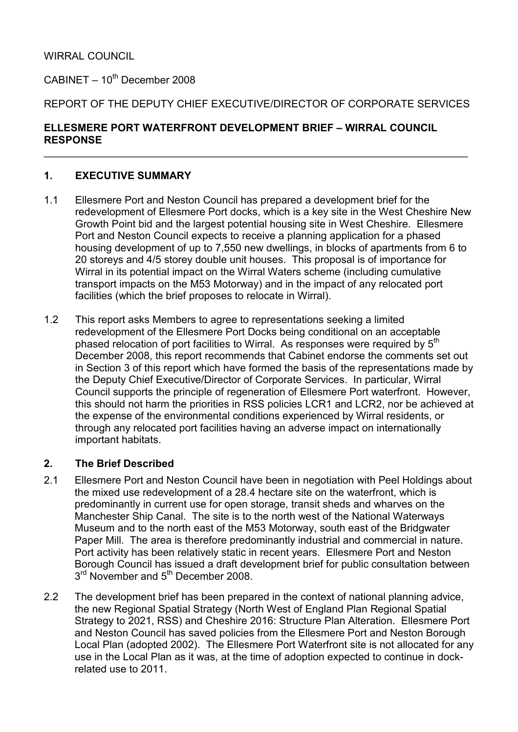## WIRRAL COUNCIL

 $C$ ABINET – 10<sup>th</sup> December 2008

# REPORT OF THE DEPUTY CHIEF EXECUTIVE/DIRECTOR OF CORPORATE SERVICES

 $\_$  , and the contribution of the contribution of  $\mathcal{L}_\mathcal{A}$  , and the contribution of  $\mathcal{L}_\mathcal{A}$  , and

### ELLESMERE PORT WATERFRONT DEVELOPMENT BRIEF – WIRRAL COUNCIL **RESPONSE**

# 1. EXECUTIVE SUMMARY

- 1.1 Ellesmere Port and Neston Council has prepared a development brief for the redevelopment of Ellesmere Port docks, which is a key site in the West Cheshire New Growth Point bid and the largest potential housing site in West Cheshire. Ellesmere Port and Neston Council expects to receive a planning application for a phased housing development of up to 7,550 new dwellings, in blocks of apartments from 6 to 20 storeys and 4/5 storey double unit houses. This proposal is of importance for Wirral in its potential impact on the Wirral Waters scheme (including cumulative transport impacts on the M53 Motorway) and in the impact of any relocated port facilities (which the brief proposes to relocate in Wirral).
- 1.2 This report asks Members to agree to representations seeking a limited redevelopment of the Ellesmere Port Docks being conditional on an acceptable phased relocation of port facilities to Wirral. As responses were required by 5<sup>th</sup> December 2008, this report recommends that Cabinet endorse the comments set out in Section 3 of this report which have formed the basis of the representations made by the Deputy Chief Executive/Director of Corporate Services. In particular, Wirral Council supports the principle of regeneration of Ellesmere Port waterfront. However, this should not harm the priorities in RSS policies LCR1 and LCR2, nor be achieved at the expense of the environmental conditions experienced by Wirral residents, or through any relocated port facilities having an adverse impact on internationally important habitats.

#### 2. The Brief Described

- 2.1 Ellesmere Port and Neston Council have been in negotiation with Peel Holdings about the mixed use redevelopment of a 28.4 hectare site on the waterfront, which is predominantly in current use for open storage, transit sheds and wharves on the Manchester Ship Canal. The site is to the north west of the National Waterways Museum and to the north east of the M53 Motorway, south east of the Bridgwater Paper Mill. The area is therefore predominantly industrial and commercial in nature. Port activity has been relatively static in recent years. Ellesmere Port and Neston Borough Council has issued a draft development brief for public consultation between 3<sup>rd</sup> November and 5<sup>th</sup> December 2008.
- 2.2 The development brief has been prepared in the context of national planning advice, the new Regional Spatial Strategy (North West of England Plan Regional Spatial Strategy to 2021, RSS) and Cheshire 2016: Structure Plan Alteration. Ellesmere Port and Neston Council has saved policies from the Ellesmere Port and Neston Borough Local Plan (adopted 2002). The Ellesmere Port Waterfront site is not allocated for any use in the Local Plan as it was, at the time of adoption expected to continue in dockrelated use to 2011.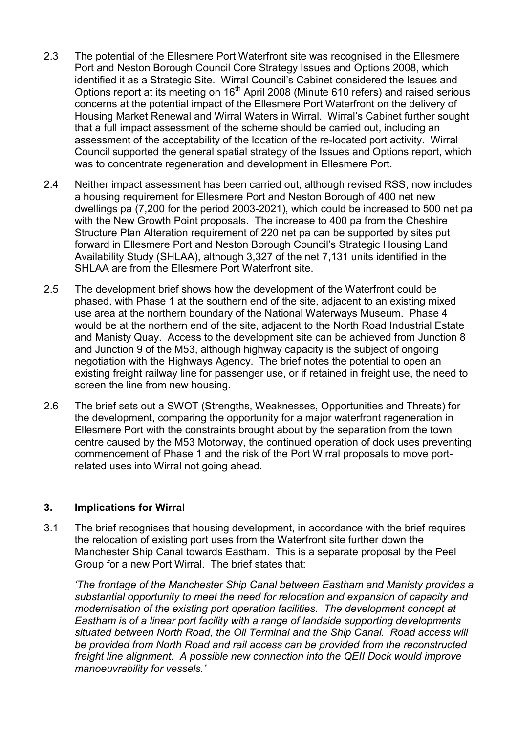- 2.3 The potential of the Ellesmere Port Waterfront site was recognised in the Ellesmere Port and Neston Borough Council Core Strategy Issues and Options 2008, which identified it as a Strategic Site. Wirral Council's Cabinet considered the Issues and Options report at its meeting on 16<sup>th</sup> April 2008 (Minute 610 refers) and raised serious concerns at the potential impact of the Ellesmere Port Waterfront on the delivery of Housing Market Renewal and Wirral Waters in Wirral. Wirral's Cabinet further sought that a full impact assessment of the scheme should be carried out, including an assessment of the acceptability of the location of the re-located port activity. Wirral Council supported the general spatial strategy of the Issues and Options report, which was to concentrate regeneration and development in Ellesmere Port.
- 2.4 Neither impact assessment has been carried out, although revised RSS, now includes a housing requirement for Ellesmere Port and Neston Borough of 400 net new dwellings pa (7,200 for the period 2003-2021), which could be increased to 500 net pa with the New Growth Point proposals. The increase to 400 pa from the Cheshire Structure Plan Alteration requirement of 220 net pa can be supported by sites put forward in Ellesmere Port and Neston Borough Council's Strategic Housing Land Availability Study (SHLAA), although 3,327 of the net 7,131 units identified in the SHLAA are from the Ellesmere Port Waterfront site.
- 2.5 The development brief shows how the development of the Waterfront could be phased, with Phase 1 at the southern end of the site, adjacent to an existing mixed use area at the northern boundary of the National Waterways Museum. Phase 4 would be at the northern end of the site, adjacent to the North Road Industrial Estate and Manisty Quay. Access to the development site can be achieved from Junction 8 and Junction 9 of the M53, although highway capacity is the subject of ongoing negotiation with the Highways Agency. The brief notes the potential to open an existing freight railway line for passenger use, or if retained in freight use, the need to screen the line from new housing.
- 2.6 The brief sets out a SWOT (Strengths, Weaknesses, Opportunities and Threats) for the development, comparing the opportunity for a major waterfront regeneration in Ellesmere Port with the constraints brought about by the separation from the town centre caused by the M53 Motorway, the continued operation of dock uses preventing commencement of Phase 1 and the risk of the Port Wirral proposals to move portrelated uses into Wirral not going ahead.

#### 3. Implications for Wirral

3.1 The brief recognises that housing development, in accordance with the brief requires the relocation of existing port uses from the Waterfront site further down the Manchester Ship Canal towards Eastham. This is a separate proposal by the Peel Group for a new Port Wirral. The brief states that:

'The frontage of the Manchester Ship Canal between Eastham and Manisty provides a substantial opportunity to meet the need for relocation and expansion of capacity and modernisation of the existing port operation facilities. The development concept at Eastham is of a linear port facility with a range of landside supporting developments situated between North Road, the Oil Terminal and the Ship Canal. Road access will be provided from North Road and rail access can be provided from the reconstructed freight line alignment. A possible new connection into the QEII Dock would improve manoeuvrability for vessels.'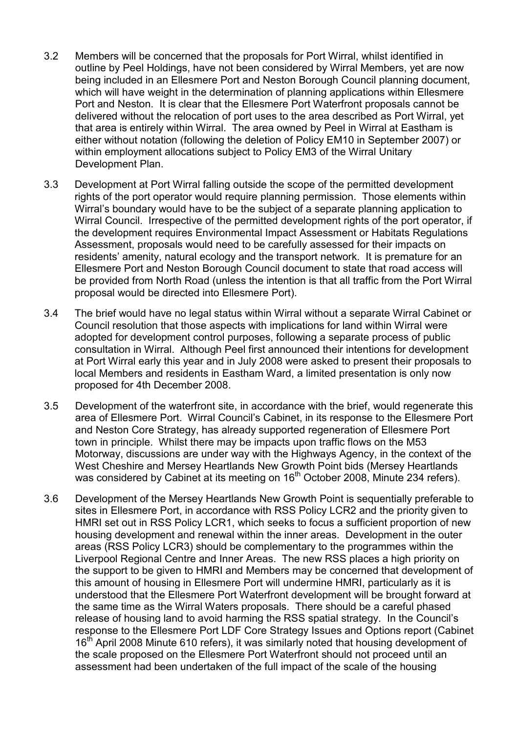- 3.2 Members will be concerned that the proposals for Port Wirral, whilst identified in outline by Peel Holdings, have not been considered by Wirral Members, yet are now being included in an Ellesmere Port and Neston Borough Council planning document, which will have weight in the determination of planning applications within Ellesmere Port and Neston. It is clear that the Ellesmere Port Waterfront proposals cannot be delivered without the relocation of port uses to the area described as Port Wirral, yet that area is entirely within Wirral. The area owned by Peel in Wirral at Eastham is either without notation (following the deletion of Policy EM10 in September 2007) or within employment allocations subject to Policy EM3 of the Wirral Unitary Development Plan.
- 3.3 Development at Port Wirral falling outside the scope of the permitted development rights of the port operator would require planning permission. Those elements within Wirral's boundary would have to be the subject of a separate planning application to Wirral Council. Irrespective of the permitted development rights of the port operator, if the development requires Environmental Impact Assessment or Habitats Regulations Assessment, proposals would need to be carefully assessed for their impacts on residents' amenity, natural ecology and the transport network. It is premature for an Ellesmere Port and Neston Borough Council document to state that road access will be provided from North Road (unless the intention is that all traffic from the Port Wirral proposal would be directed into Ellesmere Port).
- 3.4 The brief would have no legal status within Wirral without a separate Wirral Cabinet or Council resolution that those aspects with implications for land within Wirral were adopted for development control purposes, following a separate process of public consultation in Wirral. Although Peel first announced their intentions for development at Port Wirral early this year and in July 2008 were asked to present their proposals to local Members and residents in Eastham Ward, a limited presentation is only now proposed for 4th December 2008.
- 3.5 Development of the waterfront site, in accordance with the brief, would regenerate this area of Ellesmere Port. Wirral Council's Cabinet, in its response to the Ellesmere Port and Neston Core Strategy, has already supported regeneration of Ellesmere Port town in principle. Whilst there may be impacts upon traffic flows on the M53 Motorway, discussions are under way with the Highways Agency, in the context of the West Cheshire and Mersey Heartlands New Growth Point bids (Mersey Heartlands was considered by Cabinet at its meeting on 16<sup>th</sup> October 2008, Minute 234 refers).
- 3.6 Development of the Mersey Heartlands New Growth Point is sequentially preferable to sites in Ellesmere Port, in accordance with RSS Policy LCR2 and the priority given to HMRI set out in RSS Policy LCR1, which seeks to focus a sufficient proportion of new housing development and renewal within the inner areas. Development in the outer areas (RSS Policy LCR3) should be complementary to the programmes within the Liverpool Regional Centre and Inner Areas. The new RSS places a high priority on the support to be given to HMRI and Members may be concerned that development of this amount of housing in Ellesmere Port will undermine HMRI, particularly as it is understood that the Ellesmere Port Waterfront development will be brought forward at the same time as the Wirral Waters proposals. There should be a careful phased release of housing land to avoid harming the RSS spatial strategy. In the Council's response to the Ellesmere Port LDF Core Strategy Issues and Options report (Cabinet 16<sup>th</sup> April 2008 Minute 610 refers), it was similarly noted that housing development of the scale proposed on the Ellesmere Port Waterfront should not proceed until an assessment had been undertaken of the full impact of the scale of the housing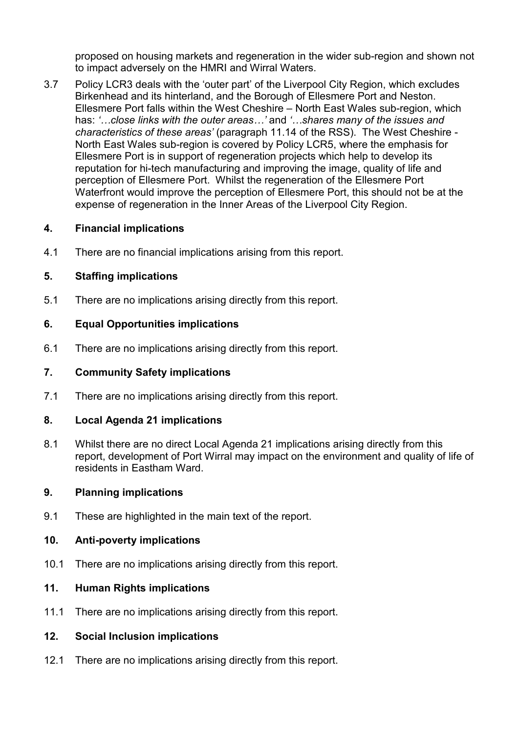proposed on housing markets and regeneration in the wider sub-region and shown not to impact adversely on the HMRI and Wirral Waters.

3.7 Policy LCR3 deals with the 'outer part' of the Liverpool City Region, which excludes Birkenhead and its hinterland, and the Borough of Ellesmere Port and Neston. Ellesmere Port falls within the West Cheshire – North East Wales sub-region, which has: '…close links with the outer areas…' and '…shares many of the issues and characteristics of these areas' (paragraph 11.14 of the RSS). The West Cheshire - North East Wales sub-region is covered by Policy LCR5, where the emphasis for Ellesmere Port is in support of regeneration projects which help to develop its reputation for hi-tech manufacturing and improving the image, quality of life and perception of Ellesmere Port. Whilst the regeneration of the Ellesmere Port Waterfront would improve the perception of Ellesmere Port, this should not be at the expense of regeneration in the Inner Areas of the Liverpool City Region.

## 4. Financial implications

4.1 There are no financial implications arising from this report.

## 5. Staffing implications

5.1 There are no implications arising directly from this report.

## 6. Equal Opportunities implications

6.1 There are no implications arising directly from this report.

#### 7. Community Safety implications

7.1 There are no implications arising directly from this report.

#### 8. Local Agenda 21 implications

8.1 Whilst there are no direct Local Agenda 21 implications arising directly from this report, development of Port Wirral may impact on the environment and quality of life of residents in Eastham Ward.

### 9. Planning implications

9.1 These are highlighted in the main text of the report.

#### 10. Anti-poverty implications

10.1 There are no implications arising directly from this report.

### 11. Human Rights implications

11.1 There are no implications arising directly from this report.

# 12. Social Inclusion implications

12.1 There are no implications arising directly from this report.